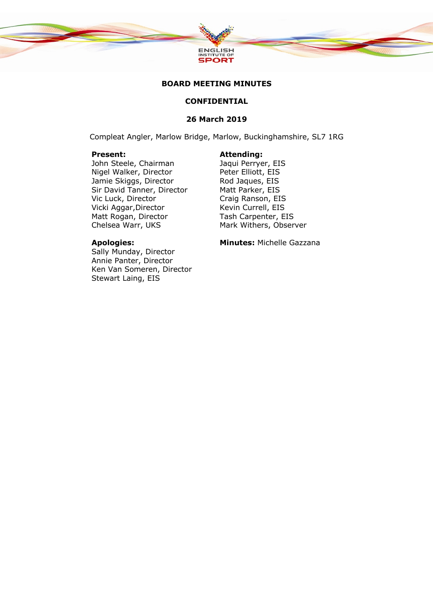

# **BOARD MEETING MINUTES**

# **CONFIDENTIAL**

# **26 March 2019**

Compleat Angler, Marlow Bridge, Marlow, Buckinghamshire, SL7 1RG

**Present: Attending: John Steele, Chairman Attending: Attending: Attending: Attending: Attending: Attending: Attending: Attending: Attending: Attending: Attending: Attending: Attending: Atte** John Steele, Chairman Nigel Walker, Director Peter Elliott, EIS Jamie Skiggs, Director Rod Jaques, EIS Sir David Tanner, Director Matt Parker, EIS Vic Luck, Director Craig Ranson, EIS Vicki Aggar, Director Kevin Currell, EIS Matt Rogan, Director **Tash Carpenter, EIS** Chelsea Warr, UKS Mark Withers, Observer

Sally Munday, Director Annie Panter, Director Ken Van Someren, Director Stewart Laing, EIS

**Apologies: Minutes:** Michelle Gazzana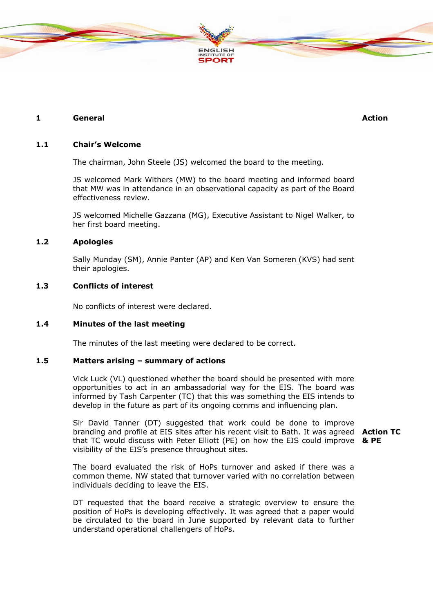

# **1 General Action**

# **1.1 Chair's Welcome**

The chairman, John Steele (JS) welcomed the board to the meeting.

JS welcomed Mark Withers (MW) to the board meeting and informed board that MW was in attendance in an observational capacity as part of the Board effectiveness review.

JS welcomed Michelle Gazzana (MG), Executive Assistant to Nigel Walker, to her first board meeting.

# **1.2 Apologies**

Sally Munday (SM), Annie Panter (AP) and Ken Van Someren (KVS) had sent their apologies.

# **1.3 Conflicts of interest**

No conflicts of interest were declared.

# **1.4 Minutes of the last meeting**

The minutes of the last meeting were declared to be correct.

## **1.5 Matters arising – summary of actions**

Vick Luck (VL) questioned whether the board should be presented with more opportunities to act in an ambassadorial way for the EIS. The board was informed by Tash Carpenter (TC) that this was something the EIS intends to develop in the future as part of its ongoing comms and influencing plan.

Sir David Tanner (DT) suggested that work could be done to improve branding and profile at EIS sites after his recent visit to Bath. It was agreed **Action TC**  that TC would discuss with Peter Elliott (PE) on how the EIS could improve **& PE**visibility of the EIS's presence throughout sites.

The board evaluated the risk of HoPs turnover and asked if there was a common theme. NW stated that turnover varied with no correlation between individuals deciding to leave the EIS.

DT requested that the board receive a strategic overview to ensure the position of HoPs is developing effectively. It was agreed that a paper would be circulated to the board in June supported by relevant data to further understand operational challengers of HoPs.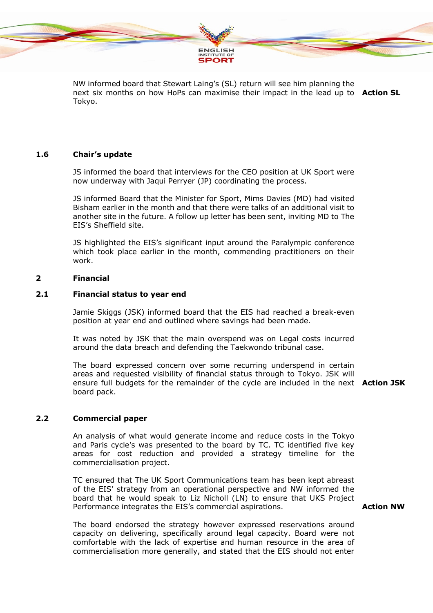

NW informed board that Stewart Laing's (SL) return will see him planning the next six months on how HoPs can maximise their impact in the lead up to **Action SL** Tokyo.

# **1.6 Chair's update**

JS informed the board that interviews for the CEO position at UK Sport were now underway with Jaqui Perryer (JP) coordinating the process.

JS informed Board that the Minister for Sport, Mims Davies (MD) had visited Bisham earlier in the month and that there were talks of an additional visit to another site in the future. A follow up letter has been sent, inviting MD to The EIS's Sheffield site.

JS highlighted the EIS's significant input around the Paralympic conference which took place earlier in the month, commending practitioners on their work.

# **2 Financial**

# **2.1 Financial status to year end**

Jamie Skiggs (JSK) informed board that the EIS had reached a break-even position at year end and outlined where savings had been made.

It was noted by JSK that the main overspend was on Legal costs incurred around the data breach and defending the Taekwondo tribunal case.

The board expressed concern over some recurring underspend in certain areas and requested visibility of financial status through to Tokyo. JSK will ensure full budgets for the remainder of the cycle are included in the next **Action JSK** board pack.

# **2.2 Commercial paper**

An analysis of what would generate income and reduce costs in the Tokyo and Paris cycle's was presented to the board by TC. TC identified five key areas for cost reduction and provided a strategy timeline for the commercialisation project.

TC ensured that The UK Sport Communications team has been kept abreast of the EIS' strategy from an operational perspective and NW informed the board that he would speak to Liz Nicholl (LN) to ensure that UKS Project Performance integrates the EIS's commercial aspirations.

## **Action NW**

The board endorsed the strategy however expressed reservations around capacity on delivering, specifically around legal capacity. Board were not comfortable with the lack of expertise and human resource in the area of commercialisation more generally, and stated that the EIS should not enter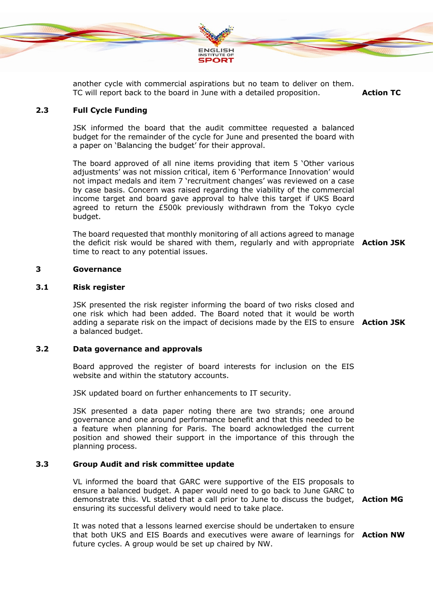

another cycle with commercial aspirations but no team to deliver on them. TC will report back to the board in June with a detailed proposition. **Action TC** 

# **2.3 Full Cycle Funding**

JSK informed the board that the audit committee requested a balanced budget for the remainder of the cycle for June and presented the board with a paper on 'Balancing the budget' for their approval.

The board approved of all nine items providing that item 5 'Other various adjustments' was not mission critical, item 6 'Performance Innovation' would not impact medals and item 7 'recruitment changes' was reviewed on a case by case basis. Concern was raised regarding the viability of the commercial income target and board gave approval to halve this target if UKS Board agreed to return the £500k previously withdrawn from the Tokyo cycle budget.

The board requested that monthly monitoring of all actions agreed to manage the deficit risk would be shared with them, regularly and with appropriate **Action JSK** time to react to any potential issues.

## **3 Governance**

### **3.1 Risk register**

JSK presented the risk register informing the board of two risks closed and one risk which had been added. The Board noted that it would be worth adding a separate risk on the impact of decisions made by the EIS to ensure **Action JSK** a balanced budget.

# **3.2 Data governance and approvals**

Board approved the register of board interests for inclusion on the EIS website and within the statutory accounts.

JSK updated board on further enhancements to IT security.

JSK presented a data paper noting there are two strands; one around governance and one around performance benefit and that this needed to be a feature when planning for Paris. The board acknowledged the current position and showed their support in the importance of this through the planning process.

# **3.3 Group Audit and risk committee update**

VL informed the board that GARC were supportive of the EIS proposals to ensure a balanced budget. A paper would need to go back to June GARC to demonstrate this. VL stated that a call prior to June to discuss the budget, **Action MG** ensuring its successful delivery would need to take place.

It was noted that a lessons learned exercise should be undertaken to ensure that both UKS and EIS Boards and executives were aware of learnings for **Action NW**future cycles. A group would be set up chaired by NW.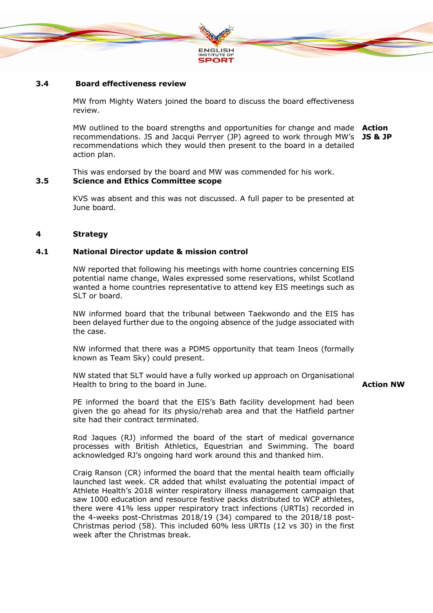

# **3.4 Board effectiveness review**

MW from Mighty Waters joined the board to discuss the board effectiveness review.

MW outlined to the board strengths and opportunities for change and made **Action** recommendations. JS and Jacqui Perryer (JP) agreed to work through MW's **JS & JP** recommendations which they would then present to the board in a detailed action plan.

This was endorsed by the board and MW was commended for his work.

# **3.5 Science and Ethics Committee scope**

KVS was absent and this was not discussed. A full paper to be presented at June board.

# **4 Strategy**

# **4.1 National Director update & mission control**

NW reported that following his meetings with home countries concerning EIS potential name change, Wales expressed some reservations, whilst Scotland wanted a home countries representative to attend key EIS meetings such as SLT or board.

NW informed board that the tribunal between Taekwondo and the EIS has been delayed further due to the ongoing absence of the judge associated with the case.

NW informed that there was a PDMS opportunity that team Ineos (formally known as Team Sky) could present.

NW stated that SLT would have a fully worked up approach on Organisational Health to bring to the board in June.

## **Action NW**

PE informed the board that the EIS's Bath facility development had been given the go ahead for its physio/rehab area and that the Hatfield partner site had their contract terminated.

Rod Jaques (RJ) informed the board of the start of medical governance processes with British Athletics, Equestrian and Swimming. The board acknowledged RJ's ongoing hard work around this and thanked him.

Craig Ranson (CR) informed the board that the mental health team officially launched last week. CR added that whilst evaluating the potential impact of Athlete Health's 2018 winter respiratory illness management campaign that saw 1000 education and resource festive packs distributed to WCP athletes, there were 41% less upper respiratory tract infections (URTIs) recorded in the 4-weeks post-Christmas 2018/19 (34) compared to the 2018/18 post-Christmas period (58). This included 60% less URTIs (12 vs 30) in the first week after the Christmas break.